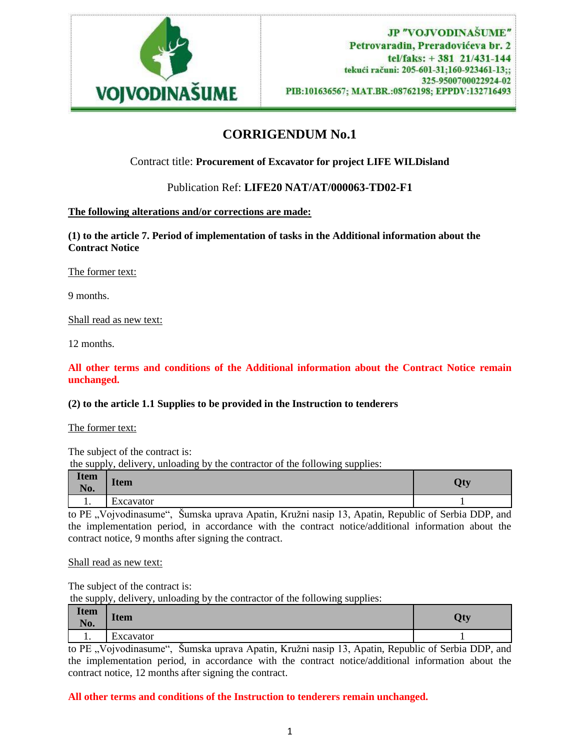

# **CORRIGENDUM No.1**

Contract title: **Procurement of Excavator for project LIFE WILDisland**

Publication Ref: **LIFE20 NAT/AT/000063-TD02-F1**

## **The following alterations and/or corrections are made:**

**(1) to the article 7. Period of implementation of tasks in the Additional information about the Contract Notice**

The former text:

9 months.

Shall read as new text:

12 months.

**All other terms and conditions of the Additional information about the Contract Notice remain unchanged.**

### **(2) to the article 1.1 Supplies to be provided in the Instruction to tenderers**

The former text:

The subject of the contract is:

the supply, delivery, unloading by the contractor of the following supplies:

| <b>Item</b><br><b>NT</b><br>N <sub>0</sub> . | <b>Item</b>    | $\mathbf{H}$<br>v.<br>∼∼ |
|----------------------------------------------|----------------|--------------------------|
| . .                                          | -<br>Excavator |                          |

to PE "Vojvodinasume", Šumska uprava Apatin, Kružni nasip 13, Apatin, Republic of Serbia DDP, and the implementation period, in accordance with the contract notice/additional information about the contract notice, 9 months after signing the contract.

Shall read as new text:

The subject of the contract is:

the supply, delivery, unloading by the contractor of the following supplies:

| <b>Item</b><br><b>BT</b><br>N <sub>0</sub> . | <b>Item</b>     | <b>Off</b><br>∼ ∙ |
|----------------------------------------------|-----------------|-------------------|
| . .                                          | --<br>Excavator |                   |

to PE "Vojvodinasume", Šumska uprava Apatin, Kružni nasip 13, Apatin, Republic of Serbia DDP, and the implementation period, in accordance with the contract notice/additional information about the contract notice, 12 months after signing the contract.

### **All other terms and conditions of the Instruction to tenderers remain unchanged.**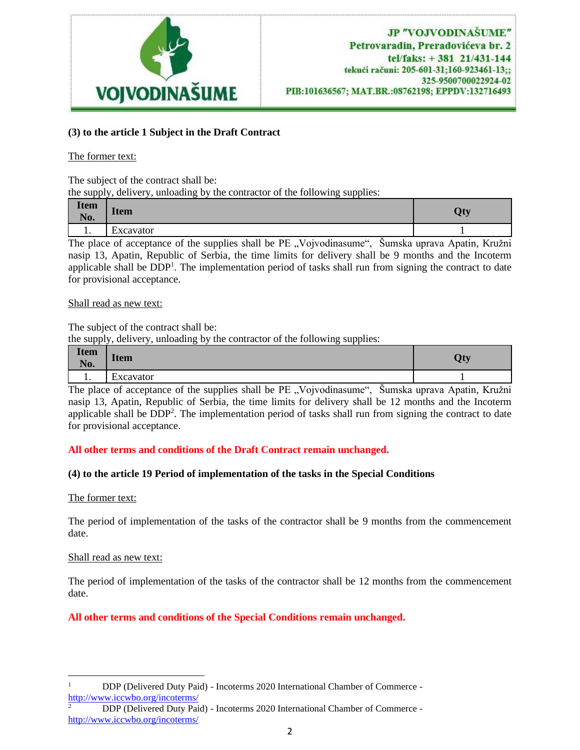

## **(3) to the article 1 Subject in the Draft Contract**

## The former text:

The subject of the contract shall be:

the supply, delivery, unloading by the contractor of the following supplies:

| <b>Item</b><br><b>BI</b><br>N <sub>0</sub> . | <b>Item</b>                           | Tre <sup>1</sup><br>x. |
|----------------------------------------------|---------------------------------------|------------------------|
| . .                                          | $\overline{\phantom{0}}$<br>Excavator |                        |

The place of acceptance of the supplies shall be PE "Vojvodinasume", Šumska uprava Apatin, Kružni nasip 13, Apatin, Republic of Serbia, the time limits for delivery shall be 9 months and the Incoterm applicable shall be DDP<sup>1</sup>. The implementation period of tasks shall run from signing the contract to date for provisional acceptance.

### Shall read as new text:

The subject of the contract shall be:

the supply, delivery, unloading by the contractor of the following supplies:

| <b>Item</b><br><b>BT</b><br>N <sub>0</sub> . | <b>Item</b>    | $\mathbf{p}$<br>∼ |
|----------------------------------------------|----------------|-------------------|
| . .                                          | ∽<br>Excavator |                   |

The place of acceptance of the supplies shall be PE "Vojvodinasume", Šumska uprava Apatin, Kružni nasip 13, Apatin, Republic of Serbia, the time limits for delivery shall be 12 months and the Incoterm applicable shall be  $DDP<sup>2</sup>$ . The implementation period of tasks shall run from signing the contract to date for provisional acceptance.

## **All other terms and conditions of the Draft Contract remain unchanged.**

## **(4) to the article 19 Period of implementation of the tasks in the Special Conditions**

### The former text:

The period of implementation of the tasks of the contractor shall be 9 months from the commencement date.

### Shall read as new text:

The period of implementation of the tasks of the contractor shall be 12 months from the commencement date.

**All other terms and conditions of the Special Conditions remain unchanged.**

<sup>&</sup>lt;sup>1</sup> DDP (Delivered Duty Paid) - Incoterms 2020 International Chamber of Commerce <http://www.iccwbo.org/incoterms/>

<sup>2</sup> DDP (Delivered Duty Paid) - Incoterms 2020 International Chamber of Commerce <http://www.iccwbo.org/incoterms/>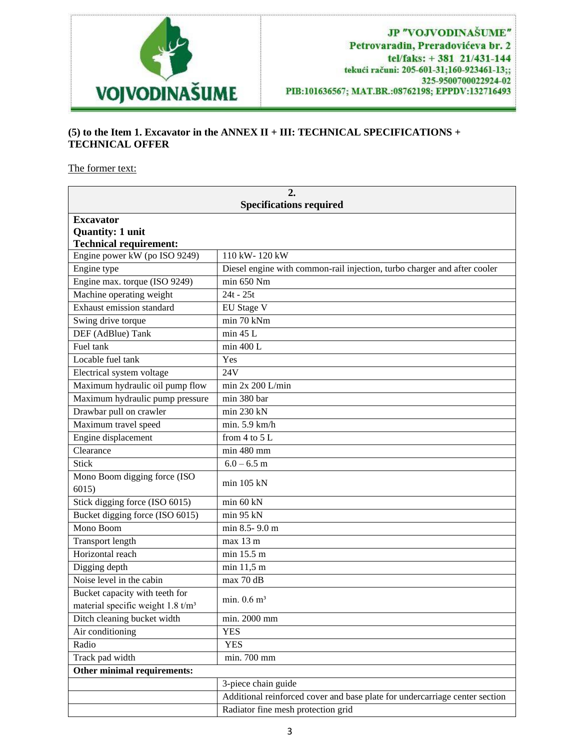

# **(5) to the Item 1. Excavator in the ANNEX II + III: TECHNICAL SPECIFICATIONS + TECHNICAL OFFER**

The former text:

| 2.                                            |                                                                             |  |
|-----------------------------------------------|-----------------------------------------------------------------------------|--|
| <b>Specifications required</b>                |                                                                             |  |
| <b>Excavator</b>                              |                                                                             |  |
| <b>Quantity: 1 unit</b>                       |                                                                             |  |
| <b>Technical requirement:</b>                 |                                                                             |  |
| Engine power kW (po ISO 9249)                 | 110 kW-120 kW                                                               |  |
| Engine type                                   | Diesel engine with common-rail injection, turbo charger and after cooler    |  |
| Engine max. torque (ISO 9249)                 | min 650 Nm                                                                  |  |
| Machine operating weight                      | $24t - 25t$                                                                 |  |
| Exhaust emission standard                     | EU Stage V                                                                  |  |
| Swing drive torque                            | min 70 kNm                                                                  |  |
| DEF (AdBlue) Tank                             | min 45 L                                                                    |  |
| Fuel tank                                     | min 400 L                                                                   |  |
| Locable fuel tank                             | Yes                                                                         |  |
| Electrical system voltage                     | 24V                                                                         |  |
| Maximum hydraulic oil pump flow               | min $2x 200$ L/min                                                          |  |
| Maximum hydraulic pump pressure               | min 380 bar                                                                 |  |
| Drawbar pull on crawler                       | min 230 kN                                                                  |  |
| Maximum travel speed                          | min. $5.9 \text{ km/h}$                                                     |  |
| Engine displacement                           | from 4 to $\overline{5L}$                                                   |  |
| Clearance                                     | min 480 mm                                                                  |  |
| <b>Stick</b>                                  | $6.0 - 6.5$ m                                                               |  |
| Mono Boom digging force (ISO<br>6015          | $min$ 105 kN                                                                |  |
| Stick digging force (ISO 6015)                | min 60 kN                                                                   |  |
| Bucket digging force (ISO 6015)               | min 95 kN                                                                   |  |
| Mono Boom                                     | min 8.5-9.0 m                                                               |  |
| <b>Transport length</b>                       | max 13 m                                                                    |  |
| Horizontal reach                              | min 15.5 m                                                                  |  |
| Digging depth                                 | min 11,5 m                                                                  |  |
| Noise level in the cabin                      | max 70 dB                                                                   |  |
| Bucket capacity with teeth for                |                                                                             |  |
| material specific weight 1.8 t/m <sup>3</sup> | min. $0.6 \text{ m}^3$                                                      |  |
| Ditch cleaning bucket width                   | min. 2000 mm                                                                |  |
| Air conditioning                              | <b>YES</b>                                                                  |  |
| Radio                                         | <b>YES</b>                                                                  |  |
| Track pad width                               | min. 700 mm                                                                 |  |
| Other minimal requirements:                   |                                                                             |  |
|                                               | 3-piece chain guide                                                         |  |
|                                               | Additional reinforced cover and base plate for undercarriage center section |  |
|                                               | Radiator fine mesh protection grid                                          |  |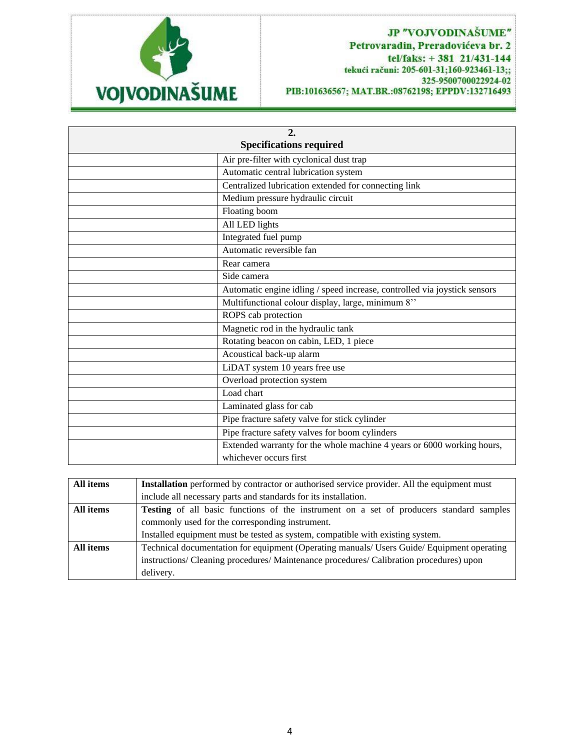

## JP "VOJVODINAŠUME" Petrovaradin, Preradovićeva br. 2 tel/faks: +381 21/431-144 tekući računi: 205-601-31;160-923461-13;; 325-9500700022924-02 PIB:101636567; MAT.BR.:08762198; EPPDV:132716493

| 2.<br><b>Specifications required</b> |                                                                           |  |
|--------------------------------------|---------------------------------------------------------------------------|--|
|                                      | Air pre-filter with cyclonical dust trap                                  |  |
|                                      | Automatic central lubrication system                                      |  |
|                                      | Centralized lubrication extended for connecting link                      |  |
|                                      | Medium pressure hydraulic circuit                                         |  |
|                                      | Floating boom                                                             |  |
|                                      | All LED lights                                                            |  |
|                                      | Integrated fuel pump                                                      |  |
|                                      | Automatic reversible fan                                                  |  |
|                                      | Rear camera                                                               |  |
|                                      | Side camera                                                               |  |
|                                      | Automatic engine idling / speed increase, controlled via joystick sensors |  |
|                                      | Multifunctional colour display, large, minimum 8"                         |  |
|                                      | ROPS cab protection                                                       |  |
|                                      | Magnetic rod in the hydraulic tank                                        |  |
|                                      | Rotating beacon on cabin, LED, 1 piece                                    |  |
|                                      | Acoustical back-up alarm                                                  |  |
|                                      | LiDAT system 10 years free use                                            |  |
|                                      | Overload protection system                                                |  |
|                                      | Load chart                                                                |  |
|                                      | Laminated glass for cab                                                   |  |
|                                      | Pipe fracture safety valve for stick cylinder                             |  |
|                                      | Pipe fracture safety valves for boom cylinders                            |  |
|                                      | Extended warranty for the whole machine 4 years or 6000 working hours,    |  |
|                                      | whichever occurs first                                                    |  |

| All items | <b>Installation</b> performed by contractor or authorised service provider. All the equipment must |
|-----------|----------------------------------------------------------------------------------------------------|
|           | include all necessary parts and standards for its installation.                                    |
| All items | <b>Testing</b> of all basic functions of the instrument on a set of producers standard samples     |
|           | commonly used for the corresponding instrument.                                                    |
|           | Installed equipment must be tested as system, compatible with existing system.                     |
| All items | Technical documentation for equipment (Operating manuals/ Users Guide/ Equipment operating         |
|           | instructions/ Cleaning procedures/ Maintenance procedures/ Calibration procedures) upon            |
|           | delivery.                                                                                          |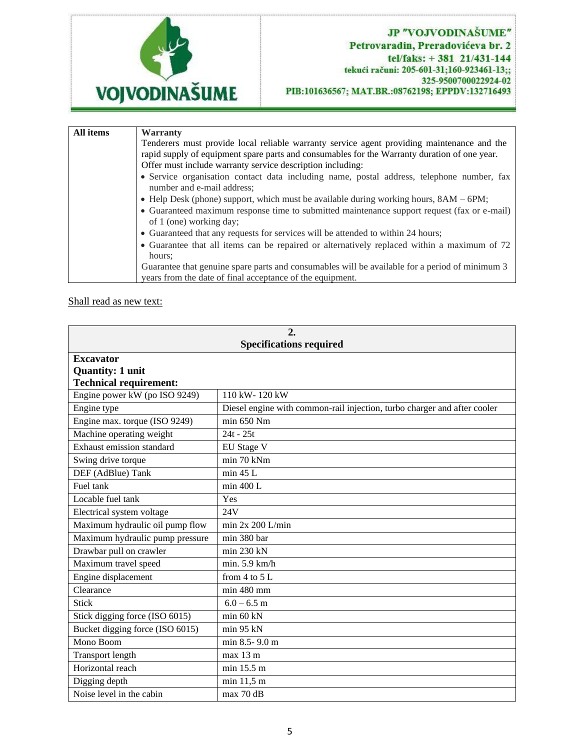

| All items | Warranty                                                                                                                |
|-----------|-------------------------------------------------------------------------------------------------------------------------|
|           | Tenderers must provide local reliable warranty service agent providing maintenance and the                              |
|           | rapid supply of equipment spare parts and consumables for the Warranty duration of one year.                            |
|           | Offer must include warranty service description including:                                                              |
|           | • Service organisation contact data including name, postal address, telephone number, fax<br>number and e-mail address; |
|           | • Help Desk (phone) support, which must be available during working hours, $8AM - 6PM$ ;                                |
|           | • Guaranteed maximum response time to submitted maintenance support request (fax or e-mail)<br>of 1 (one) working day;  |
|           | • Guaranteed that any requests for services will be attended to within 24 hours;                                        |
|           | • Guarantee that all items can be repaired or alternatively replaced within a maximum of 72<br>hours:                   |
|           | Guarantee that genuine spare parts and consumables will be available for a period of minimum 3                          |
|           | years from the date of final acceptance of the equipment.                                                               |

Shall read as new text:

| 2.<br><b>Specifications required</b> |                                                                          |  |
|--------------------------------------|--------------------------------------------------------------------------|--|
| <b>Excavator</b>                     |                                                                          |  |
| <b>Quantity: 1 unit</b>              |                                                                          |  |
| <b>Technical requirement:</b>        |                                                                          |  |
| Engine power kW (po ISO 9249)        | 110 kW-120 kW                                                            |  |
| Engine type                          | Diesel engine with common-rail injection, turbo charger and after cooler |  |
| Engine max. torque (ISO 9249)        | min 650 Nm                                                               |  |
| Machine operating weight             | $24t - 25t$                                                              |  |
| Exhaust emission standard            | EU Stage V                                                               |  |
| Swing drive torque                   | min 70 kNm                                                               |  |
| DEF (AdBlue) Tank                    | min 45 L                                                                 |  |
| Fuel tank                            | min 400 L                                                                |  |
| Locable fuel tank                    | Yes                                                                      |  |
| Electrical system voltage            | 24V                                                                      |  |
| Maximum hydraulic oil pump flow      | min 2x 200 L/min                                                         |  |
| Maximum hydraulic pump pressure      | min 380 bar                                                              |  |
| Drawbar pull on crawler              | min 230 kN                                                               |  |
| Maximum travel speed                 | min. $5.9 \text{ km/h}$                                                  |  |
| Engine displacement                  | from $4$ to $5$ L                                                        |  |
| Clearance                            | min 480 mm                                                               |  |
| <b>Stick</b>                         | $6.0 - 6.5$ m                                                            |  |
| Stick digging force (ISO 6015)       | min 60 kN                                                                |  |
| Bucket digging force (ISO 6015)      | min 95 kN                                                                |  |
| Mono Boom                            | min 8.5-9.0 m                                                            |  |
| <b>Transport length</b>              | max 13 m                                                                 |  |
| Horizontal reach                     | min 15.5 m                                                               |  |
| Digging depth                        | min 11,5 m                                                               |  |
| Noise level in the cabin             | max 70 dB                                                                |  |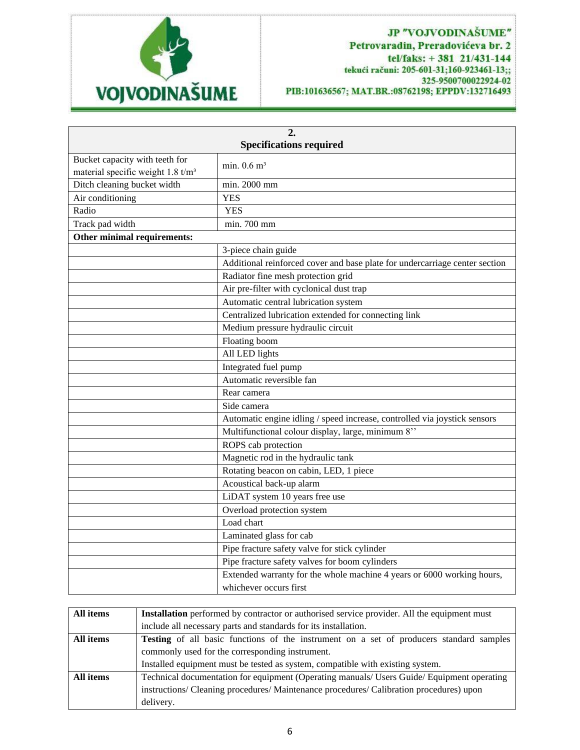

## JP "VOJVODINAŠUME" Petrovaradin, Preradovićeva br. 2 tel/faks: +381 21/431-144 tekući računi: 205-601-31;160-923461-13;; 325-9500700022924-02 PIB:101636567; MAT.BR.:08762198; EPPDV:132716493

| 2.                                            |                                                                             |  |  |
|-----------------------------------------------|-----------------------------------------------------------------------------|--|--|
|                                               | <b>Specifications required</b>                                              |  |  |
| Bucket capacity with teeth for                | min. $0.6 \text{ m}^3$                                                      |  |  |
| material specific weight 1.8 t/m <sup>3</sup> |                                                                             |  |  |
| Ditch cleaning bucket width                   | min. 2000 mm                                                                |  |  |
| Air conditioning                              | <b>YES</b>                                                                  |  |  |
| Radio                                         | <b>YES</b>                                                                  |  |  |
| Track pad width                               | min. 700 mm                                                                 |  |  |
| Other minimal requirements:                   |                                                                             |  |  |
|                                               | 3-piece chain guide                                                         |  |  |
|                                               | Additional reinforced cover and base plate for undercarriage center section |  |  |
|                                               | Radiator fine mesh protection grid                                          |  |  |
|                                               | Air pre-filter with cyclonical dust trap                                    |  |  |
|                                               | Automatic central lubrication system                                        |  |  |
|                                               | Centralized lubrication extended for connecting link                        |  |  |
|                                               | Medium pressure hydraulic circuit                                           |  |  |
|                                               | Floating boom                                                               |  |  |
|                                               | All LED lights                                                              |  |  |
|                                               | Integrated fuel pump                                                        |  |  |
|                                               | Automatic reversible fan                                                    |  |  |
|                                               | Rear camera                                                                 |  |  |
|                                               | Side camera                                                                 |  |  |
|                                               | Automatic engine idling / speed increase, controlled via joystick sensors   |  |  |
|                                               | Multifunctional colour display, large, minimum 8"                           |  |  |
|                                               | ROPS cab protection                                                         |  |  |
|                                               | Magnetic rod in the hydraulic tank                                          |  |  |
|                                               | Rotating beacon on cabin, LED, 1 piece                                      |  |  |
|                                               | Acoustical back-up alarm                                                    |  |  |
|                                               | LiDAT system 10 years free use                                              |  |  |
|                                               | Overload protection system                                                  |  |  |
|                                               | Load chart                                                                  |  |  |
|                                               | Laminated glass for cab                                                     |  |  |
|                                               | Pipe fracture safety valve for stick cylinder                               |  |  |
|                                               | Pipe fracture safety valves for boom cylinders                              |  |  |
|                                               | Extended warranty for the whole machine 4 years or 6000 working hours,      |  |  |
|                                               | whichever occurs first                                                      |  |  |

| All items | Installation performed by contractor or authorised service provider. All the equipment must    |  |
|-----------|------------------------------------------------------------------------------------------------|--|
|           | include all necessary parts and standards for its installation.                                |  |
| All items | <b>Testing</b> of all basic functions of the instrument on a set of producers standard samples |  |
|           | commonly used for the corresponding instrument.                                                |  |
|           | Installed equipment must be tested as system, compatible with existing system.                 |  |
| All items | Technical documentation for equipment (Operating manuals/ Users Guide/ Equipment operating     |  |
|           | instructions/ Cleaning procedures/ Maintenance procedures/ Calibration procedures) upon        |  |
|           | delivery.                                                                                      |  |